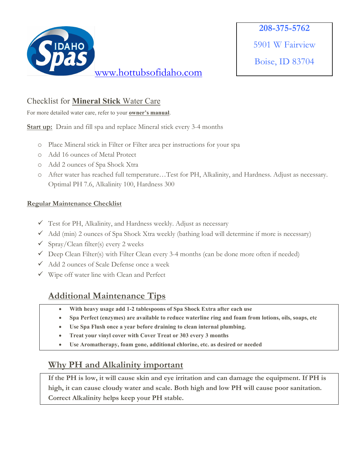

Boise, ID 83704

### Checklist for **Mineral Stick** Water Care

For more detailed water care, refer to your **owner's manual**.

**Start up:** Drain and fill spa and replace Mineral stick every 3-4 months

- o Place Mineral stick in Filter or Filter area per instructions for your spa
- o Add 16 ounces of Metal Protect
- o Add 2 ounces of Spa Shock Xtra
- o After water has reached full temperature…Test for PH, Alkalinity, and Hardness. Adjust as necessary. Optimal PH 7.6, Alkalinity 100, Hardness 300

#### **Regular Maintenance Checklist**

- $\checkmark$  Test for PH, Alkalinity, and Hardness weekly. Adjust as necessary
- $\checkmark$  Add (min) 2 ounces of Spa Shock Xtra weekly (bathing load will determine if more is necessary)
- $\checkmark$  Spray/Clean filter(s) every 2 weeks
- $\checkmark$  Deep Clean Filter(s) with Filter Clean every 3-4 months (can be done more often if needed)
- $\checkmark$  Add 2 ounces of Scale Defense once a week
- $\checkmark$  Wipe off water line with Clean and Perfect

# **Additional Maintenance Tips**

- **With heavy usage add 1-2 tablespoons of Spa Shock Extra after each use**
- **Spa Perfect (enzymes) are available to reduce waterline ring and foam from lotions, oils, soaps, etc**
- **Use Spa Flush once a year before draining to clean internal plumbing.**
- **Treat your vinyl cover with Cover Treat or 303 every 3 months**
- **Use Aromatherapy, foam gone, additional chlorine, etc. as desired or needed**

## **Why PH and Alkalinity important**

**If the PH is low, it will cause skin and eye irritation and can damage the equipment. If PH is high, it can cause cloudy water and scale. Both high and low PH will cause poor sanitation. Correct Alkalinity helps keep your PH stable.**